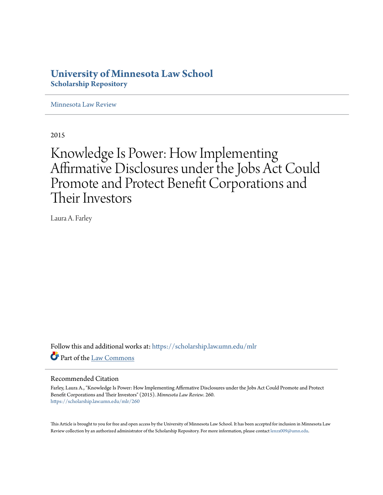## **University of Minnesota Law School [Scholarship Repository](https://scholarship.law.umn.edu?utm_source=scholarship.law.umn.edu%2Fmlr%2F260&utm_medium=PDF&utm_campaign=PDFCoverPages)**

[Minnesota Law Review](https://scholarship.law.umn.edu/mlr?utm_source=scholarship.law.umn.edu%2Fmlr%2F260&utm_medium=PDF&utm_campaign=PDFCoverPages)

2015

# Knowledge Is Power: How Implementing Affirmative Disclosures under the Jobs Act Could Promote and Protect Benefit Corporations and Their Investors

Laura A. Farley

Follow this and additional works at: [https://scholarship.law.umn.edu/mlr](https://scholarship.law.umn.edu/mlr?utm_source=scholarship.law.umn.edu%2Fmlr%2F260&utm_medium=PDF&utm_campaign=PDFCoverPages) Part of the [Law Commons](http://network.bepress.com/hgg/discipline/578?utm_source=scholarship.law.umn.edu%2Fmlr%2F260&utm_medium=PDF&utm_campaign=PDFCoverPages)

### Recommended Citation

Farley, Laura A., "Knowledge Is Power: How Implementing Affirmative Disclosures under the Jobs Act Could Promote and Protect Benefit Corporations and Their Investors" (2015). *Minnesota Law Review*. 260. [https://scholarship.law.umn.edu/mlr/260](https://scholarship.law.umn.edu/mlr/260?utm_source=scholarship.law.umn.edu%2Fmlr%2F260&utm_medium=PDF&utm_campaign=PDFCoverPages)

This Article is brought to you for free and open access by the University of Minnesota Law School. It has been accepted for inclusion in Minnesota Law Review collection by an authorized administrator of the Scholarship Repository. For more information, please contact [lenzx009@umn.edu.](mailto:lenzx009@umn.edu)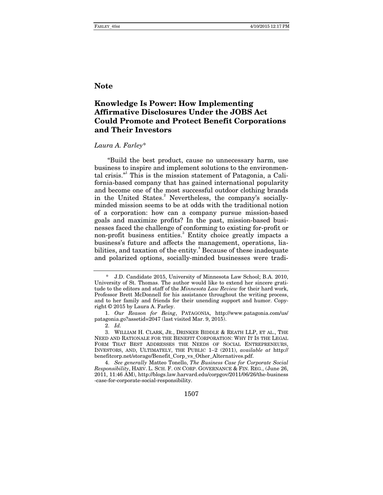### **Note**

### **Knowledge Is Power: How Implementing Affirmative Disclosures Under the JOBS Act Could Promote and Protect Benefit Corporations and Their Investors**

#### *Laura A. Farley*\*

"Build the best product, cause no unnecessary harm, use business to inspire and implement solutions to the environmental crisis." This is the mission statement of Patagonia, a California-based company that has gained international popularity and become one of the most successful outdoor clothing brands in the United States.<sup>2</sup> Nevertheless, the company's sociallyminded mission seems to be at odds with the traditional notion of a corporation: how can a company pursue mission-based goals and maximize profits? In the past, mission-based businesses faced the challenge of conforming to existing for-profit or non-profit business entities.<sup>3</sup> Entity choice greatly impacts a business's future and affects the management, operations, liabilities, and taxation of the entity.<sup>4</sup> Because of these inadequate and polarized options, socially-minded businesses were tradi-

1507

 <sup>\*</sup> J.D. Candidate 2015, University of Minnesota Law School; B.A. 2010, University of St. Thomas. The author would like to extend her sincere gratitude to the editors and staff of the *Minnesota Law Review* for their hard work, Professor Brett McDonnell for his assistance throughout the writing process, and to her family and friends for their unending support and humor. Copyright © 2015 by Laura A. Farley.

<sup>1.</sup> *Our Reason for Being*, PATAGONIA, http://www.patagonia.com/us/ patagonia.go?assetid=2047 (last visited Mar. 9, 2015).

<sup>2.</sup> *Id.*

 <sup>3.</sup> WILLIAM H. CLARK, JR., DRINKER BIDDLE & REATH LLP, ET AL., THE NEED AND RATIONALE FOR THE BENEFIT CORPORATION: WHY IT IS THE LEGAL FORM THAT BEST ADDRESSES THE NEEDS OF SOCIAL ENTREPRENEURS, INVESTORS, AND, ULTIMATELY, THE PUBLIC 1–2 (2011), *available at* http:// benefitcorp.net/storage/Benefit\_Corp\_vs\_Other\_Alternatives.pdf.

<sup>4.</sup> *See generally* Matteo Tonello, *The Business Case for Corporate Social Responsibility*, HARV. L. SCH. F. ON CORP. GOVERNANCE & FIN. REG., (June 26, 2011, 11:46 AM), http://blogs.law.harvard.edu/corpgov/2011/06/26/the-business -case-for-corporate-social-responsibility.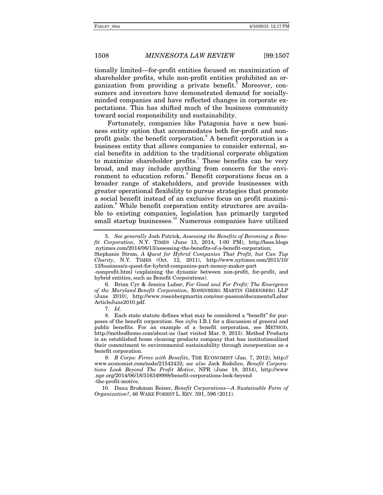tionally limited—for-profit entities focused on maximization of shareholder profits, while non-profit entities prohibited an organization from providing a private benefit.<sup>5</sup> Moreover, consumers and investors have demonstrated demand for sociallyminded companies and have reflected changes in corporate expectations. This has shifted much of the business community toward social responsibility and sustainability.

Fortunately, companies like Patagonia have a new business entity option that accommodates both for-profit and nonprofit goals: the benefit corporation.<sup>6</sup> A benefit corporation is a business entity that allows companies to consider external, social benefits in addition to the traditional corporate obligation to maximize shareholder profits.<sup>7</sup> These benefits can be very broad, and may include anything from concern for the environment to education reform.<sup>8</sup> Benefit corporations focus on a broader range of stakeholders, and provide businesses with greater operational flexibility to pursue strategies that promote a social benefit instead of an exclusive focus on profit maximization.<sup>9</sup> While benefit corporation entity structures are available to existing companies, legislation has primarily targeted small startup businesses.<sup>10</sup> Numerous companies have utilized

Stephanie Strom, *A Quest for Hybrid Companies That Profit, but Can Tap Charity*, N.Y. TIMES (Oct. 12, 2011), http://www.nytimes.com/2011/10/ 13/business/a-quest-for-hybrid-companies-part-money-maker-part

 6. Brian Cyr & Jessica Lubar, *For Good and For Profit: The Emergence of the Maryland Benefit Corporation*, ROSENBERG MARTIN GREENBERG LLP (June 2010), http://www.rosenbergmartin.com/our-passion/documents/Lubar ArticleJune2010.pdf.

7. *Id.*

 <sup>5.</sup> *See generally* Josh Patrick, *Assessing the Benefits of Becoming a Benefit Corporation*, N.Y. TIMES (June 13, 2014, 1:00 PM), http://boss.blogs .nytimes.com/2014/06/13/assessing-the-benefits-of-a-benefit-corporation;

<sup>-</sup>nonprofit.html (explaining the dynamic between non-profit, for-profit, and hybrid entities, such as Benefit Corporations).

 <sup>8.</sup> Each state statute defines what may be considered a "benefit" for purposes of the benefit corporation. See *infra* I.B.1 for a discussion of general and public benefits. For an example of a benefit corporation, see METHOD, http://methodhome.com/about-us (last visited Mar. 9, 2015). Method Products is an established home cleaning products company that has institutionalized their commitment to environmental sustainability through incorporation as a benefit corporation.

<sup>9.</sup> *B Corps: Firms with Benefits*, THE ECONOMIST (Jan. 7, 2012), http:// www.economist.com/node/21542432; *see also* Jack Rodolico, *Benefit Corporations Look Beyond The Profit Motive*, NPR (June 18, 2014), http://www .npr.org/2014/06/18/316349988/benefit-corporations-look-beyond -the-profit-motive.

 <sup>10.</sup> Dana Brakman Reiser, *Benefit Corporations—A Sustainable Form of Organization?*, 46 WAKE FOREST L. REV. 591, 596 (2011).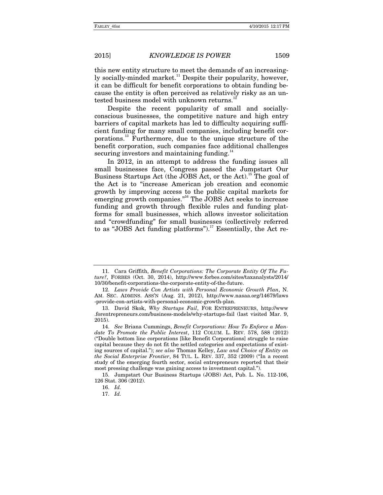this new entity structure to meet the demands of an increasingly socially-minded market.<sup>11</sup> Despite their popularity, however, it can be difficult for benefit corporations to obtain funding because the entity is often perceived as relatively risky as an untested business model with unknown returns.<sup>1</sup>

Despite the recent popularity of small and sociallyconscious businesses, the competitive nature and high entry barriers of capital markets has led to difficulty acquiring sufficient funding for many small companies, including benefit corporations.13 Furthermore, due to the unique structure of the benefit corporation, such companies face additional challenges securing investors and maintaining funding.<sup>14</sup>

In 2012, in an attempt to address the funding issues all small businesses face, Congress passed the Jumpstart Our Business Startups Act (the JOBS Act, or the Act).<sup>15</sup> The goal of the Act is to "increase American job creation and economic growth by improving access to the public capital markets for emerging growth companies."<sup>16</sup> The JOBS Act seeks to increase funding and growth through flexible rules and funding platforms for small businesses, which allows investor solicitation and "crowdfunding" for small businesses (collectively referred to as "JOBS Act funding platforms").<sup>17</sup> Essentially, the Act re-

 <sup>11.</sup> Cara Griffith, *Benefit Corporations: The Corporate Entity Of The Future?*, FORBES (Oct. 30, 2014), http://www.forbes.com/sites/taxanalysts/2014/ 10/30/benefit-corporations-the-corporate-entity-of-the-future.

<sup>12.</sup> *Laws Provide Con Artists with Personal Economic Growth Plan*, N. AM. SEC. ADMINS. ASS'N (Aug. 21, 2012), http://www.nasaa.org/14679/laws -provide-con-artists-with-personal-economic-growth-plan.

 <sup>13.</sup> David Skok, *Why Startups Fail*, FOR ENTREPRENEURS, http://www .forentrepreneurs.com/business-models/why-startups-fail (last visited Mar. 9, 2015).

<sup>14.</sup> *See* Briana Cummings, *Benefit Corporations: How To Enforce a Mandate To Promote the Public Interest*, 112 COLUM. L. REV. 578, 588 (2012) ("Double bottom line corporations [like Benefit Corporations] struggle to raise capital because they do not fit the settled categories and expectations of existing sources of capital."); *see also* Thomas Kelley, *Law and Choice of Entity on the Social Enterprise Frontier*, 84 TUL. L. REV. 337, 352 (2009) ("In a recent study of the emerging fourth sector, social entrepreneurs reported that their most pressing challenge was gaining access to investment capital.").

 <sup>15.</sup> Jumpstart Our Business Startups (JOBS) Act, Pub. L. No. 112-106, 126 Stat. 306 (2012).

<sup>16.</sup> *Id.*

<sup>17.</sup> *Id.*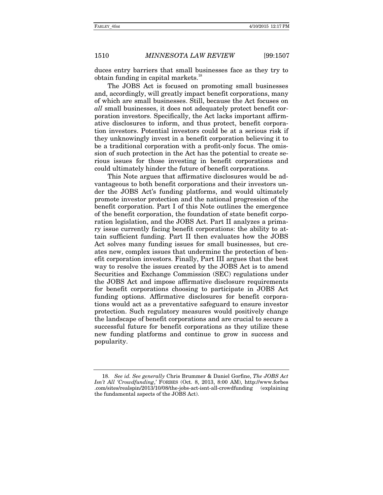duces entry barriers that small businesses face as they try to obtain funding in capital markets. $\cdot$ 

The JOBS Act is focused on promoting small businesses and, accordingly, will greatly impact benefit corporations, many of which are small businesses. Still, because the Act focuses on *all* small businesses, it does not adequately protect benefit corporation investors. Specifically, the Act lacks important affirmative disclosures to inform, and thus protect, benefit corporation investors. Potential investors could be at a serious risk if they unknowingly invest in a benefit corporation believing it to be a traditional corporation with a profit-only focus. The omission of such protection in the Act has the potential to create serious issues for those investing in benefit corporations and could ultimately hinder the future of benefit corporations.

This Note argues that affirmative disclosures would be advantageous to both benefit corporations and their investors under the JOBS Act's funding platforms, and would ultimately promote investor protection and the national progression of the benefit corporation. Part I of this Note outlines the emergence of the benefit corporation, the foundation of state benefit corporation legislation, and the JOBS Act. Part II analyzes a primary issue currently facing benefit corporations: the ability to attain sufficient funding. Part II then evaluates how the JOBS Act solves many funding issues for small businesses, but creates new, complex issues that undermine the protection of benefit corporation investors. Finally, Part III argues that the best way to resolve the issues created by the JOBS Act is to amend Securities and Exchange Commission (SEC) regulations under the JOBS Act and impose affirmative disclosure requirements for benefit corporations choosing to participate in JOBS Act funding options. Affirmative disclosures for benefit corporations would act as a preventative safeguard to ensure investor protection. Such regulatory measures would positively change the landscape of benefit corporations and are crucial to secure a successful future for benefit corporations as they utilize these new funding platforms and continue to grow in success and popularity.

<sup>18.</sup> *See id. See generally* Chris Brummer & Daniel Gorfine, *The JOBS Act Isn't All 'Crowdfunding*,*'* FORBES (Oct. 8, 2013, 8:00 AM), http://www.forbes .com/sites/realspin/2013/10/08/the-jobs-act-isnt-all-crowdfunding (explaining the fundamental aspects of the JOBS Act).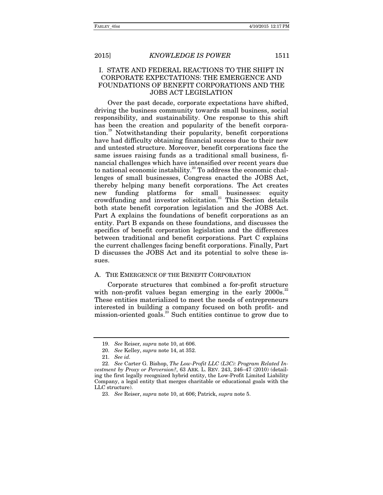### I. STATE AND FEDERAL REACTIONS TO THE SHIFT IN CORPORATE EXPECTATIONS: THE EMERGENCE AND FOUNDATIONS OF BENEFIT CORPORATIONS AND THE JOBS ACT LEGISLATION

Over the past decade, corporate expectations have shifted, driving the business community towards small business, social responsibility, and sustainability. One response to this shift has been the creation and popularity of the benefit corporation.<sup>19</sup> Notwithstanding their popularity, benefit corporations have had difficulty obtaining financial success due to their new and untested structure. Moreover, benefit corporations face the same issues raising funds as a traditional small business, financial challenges which have intensified over recent years due to national economic instability.<sup>20</sup> To address the economic challenges of small businesses, Congress enacted the JOBS Act, thereby helping many benefit corporations. The Act creates new funding platforms for small businesses: equity crowdfunding and investor solicitation.<sup>21</sup> This Section details both state benefit corporation legislation and the JOBS Act. Part A explains the foundations of benefit corporations as an entity. Part B expands on these foundations, and discusses the specifics of benefit corporation legislation and the differences between traditional and benefit corporations. Part C explains the current challenges facing benefit corporations. Finally, Part D discusses the JOBS Act and its potential to solve these issues.

#### A. THE EMERGENCE OF THE BENEFIT CORPORATION

Corporate structures that combined a for-profit structure with non-profit values began emerging in the early  $2000s^{22}$ These entities materialized to meet the needs of entrepreneurs interested in building a company focused on both profit- and mission-oriented goals. $^{23}$  Such entities continue to grow due to

<sup>19.</sup> *See* Reiser*, supra* note 10, at 606.

<sup>20.</sup> *See* Kelley, *supra* note 14, at 352.

<sup>21.</sup> *See id.*

<sup>22.</sup> *See* Carter G. Bishop, *The Low-Profit LLC (L3C): Program Related Investment by Proxy or Perversion?*, 63 ARK. L. REV. 243, 246–47 (2010) (detailing the first legally recognized hybrid entity, the Low-Profit Limited Liability Company, a legal entity that merges charitable or educational goals with the LLC structure).

<sup>23.</sup> *See* Reiser, *supra* note 10, at 606; Patrick, *supra* note 5.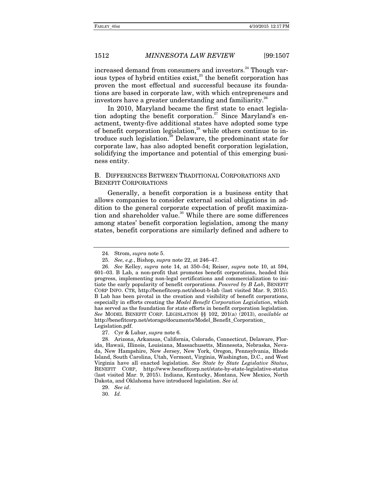increased demand from consumers and investors.<sup>24</sup> Though various types of hybrid entities exist, $25$  the benefit corporation has proven the most effectual and successful because its foundations are based in corporate law, with which entrepreneurs and investors have a greater understanding and familiarity.<sup>26</sup>

In 2010, Maryland became the first state to enact legislation adopting the benefit corporation.<sup>27</sup> Since Maryland's enactment, twenty-five additional states have adopted some type of benefit corporation legislation, $^{28}$  while others continue to introduce such legislation.<sup>29</sup> Delaware, the predominant state for corporate law, has also adopted benefit corporation legislation, solidifying the importance and potential of this emerging business entity.

#### B. DIFFERENCES BETWEEN TRADITIONAL CORPORATIONS AND BENEFIT CORPORATIONS

Generally, a benefit corporation is a business entity that allows companies to consider external social obligations in addition to the general corporate expectation of profit maximization and shareholder value.<sup>30</sup> While there are some differences among states' benefit corporation legislation, among the many states, benefit corporations are similarly defined and adhere to

 28. Arizona, Arkansas, California, Colorado, Connecticut, Delaware, Florida, Hawaii, Illinois, Louisiana, Massachusetts, Minnesota, Nebraska, Nevada, New Hampshire, New Jersey, New York, Oregon, Pennsylvania, Rhode Island, South Carolina, Utah, Vermont, Virginia, Washington, D.C., and West Virginia have all enacted legislation. *See State by State Legislative Status*, BENEFIT CORP, http://www.benefitcorp.net/state-by-state-legislative-status (last visited Mar. 9, 2015). Indiana, Kentucky, Montana, New Mexico, North Dakota, and Oklahoma have introduced legislation. *See id.*

30. *Id.*

 <sup>24.</sup> Strom, *supra* note 5.

<sup>25.</sup> *See, e.g.*, Bishop, *supra* note 22, at 246–47.

<sup>26.</sup> *See* Kelley, *supra* note 14, at 350–54; Reiser, *supra* note 10, at 594, 601–03. B Lab, a non-profit that promotes benefit corporations, headed this progress, implementing non-legal certifications and commercialization to initiate the early popularity of benefit corporations. *Powered by B Lab*, BENEFIT CORP INFO. CTR, http://benefitcorp.net/about-b-lab (last visited Mar. 9, 2015). B Lab has been pivotal in the creation and visibility of benefit corporations, especially in efforts creating the *Model Benefit Corporation Legislation*, which has served as the foundation for state efforts in benefit corporation legislation. *See* MODEL BENEFIT CORP. LEGISLATION §§ 102, 201(a) (2013), *available at* http://benefitcorp.net/storage/documents/Model\_Benefit\_Corporation\_ Legislation.pdf.

 <sup>27.</sup> Cyr & Lubar, *supra* note 6.

<sup>29.</sup> *See id*.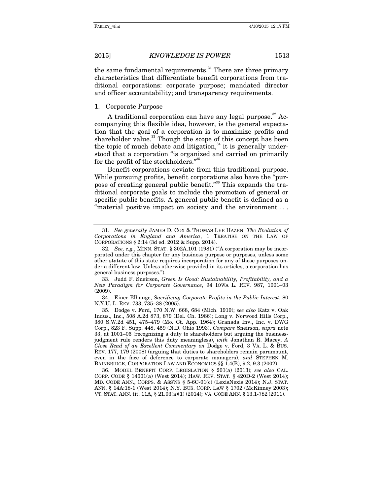the same fundamental requirements.<sup>31</sup> There are three primary characteristics that differentiate benefit corporations from traditional corporations: corporate purpose; mandated director and officer accountability; and transparency requirements.

#### 1. Corporate Purpose

A traditional corporation can have any legal purpose.<sup>32</sup> Accompanying this flexible idea, however, is the general expectation that the goal of a corporation is to maximize profits and shareholder value.<sup>33</sup> Though the scope of this concept has been the topic of much debate and litigation, $34$  it is generally understood that a corporation "is organized and carried on primarily for the profit of the stockholders."35

Benefit corporations deviate from this traditional purpose. While pursuing profits, benefit corporations also have the "purpose of creating general public benefit."<sup>36</sup> This expands the traditional corporate goals to include the promotion of general or specific public benefits. A general public benefit is defined as a "material positive impact on society and the environment . . .

 33. Judd F. Sneirson, *Green Is Good: Sustainability, Profitability, and a New Paradigm for Corporate Governance*, 94 IOWA L. REV. 987, 1001–03 (2009).

 34. Einer Elhauge, *Sacrificing Corporate Profits in the Public Interest*, 80 N.Y.U. L. REV. 733, 735–38 (2005).

 36. MODEL BENEFIT CORP. LEGISLATION § 201(a) (2013); *see also* CAL. CORP. CODE § 14601(a) (West 2014); HAW. REV. STAT. § 420D-2 (West 2014); MD. CODE ANN., CORPS. & ASS'NS § 5-6C-01(c) (LexisNexis 2014); N.J. STAT. ANN. § 14A:18-1 (West 2014); N.Y. BUS. CORP. LAW § 1702 (McKinney 2003); VT. STAT. ANN. tit. 11A, § 21.03(a)(1) (2014); VA. CODE ANN. § 13.1-782 (2011).

<sup>31.</sup> *See generally* JAMES D. COX & THOMAS LEE HAZEN, *The Evolution of Corporations in England and America*, 1 TREATISE ON THE LAW OF CORPORATIONS § 2:14 (3d ed. 2012 & Supp. 2014).

<sup>32.</sup> *See, e.g.*, MINN. STAT. § 302A.101 (1981) ("A corporation may be incorporated under this chapter for any business purpose or purposes, unless some other statute of this state requires incorporation for any of those purposes under a different law. Unless otherwise provided in its articles, a corporation has general business purposes.").

 <sup>35.</sup> Dodge v. Ford, 170 N.W. 668, 684 (Mich. 1919); *see also* Katz v. Oak Indus., Inc., 508 A.2d 873, 879 (Del. Ch. 1986); Long v. Norwood Hills Corp., 380 S.W.2d 451, 475–479 (Mo. Ct. App. 1964); Granada Inv., Inc. v. DWG Corp., 823 F. Supp. 448, 459 (N.D. Ohio 1993). *Compare* Sneirson, *supra* note 33, at 1001–06 (recognizing a duty to shareholders but arguing the businessjudgment rule renders this duty meaningless), *with* Jonathan R. Macey, *A Close Read of an Excellent Commentary on* Dodge v. Ford, 3 VA. L. & BUS. REV. 177, 179 (2008) (arguing that duties to shareholders remain paramount, even in the face of deference to corporate managers), *and* STEPHEN M. BAINBRIDGE, CORPORATION LAW AND ECONOMICS §§ 1.4(B), 9.2, 9.3 (2002).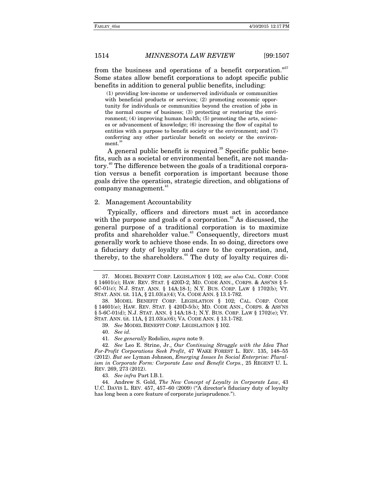from the business and operations of a benefit corporation."<sup>37</sup> Some states allow benefit corporations to adopt specific public benefits in addition to general public benefits, including:

 (1) providing low-income or underserved individuals or communities with beneficial products or services; (2) promoting economic opportunity for individuals or communities beyond the creation of jobs in the normal course of business; (3) protecting or restoring the environment; (4) improving human health; (5) promoting the arts, sciences or advancement of knowledge; (6) increasing the flow of capital to entities with a purpose to benefit society or the environment; and (7) conferring any other particular benefit on society or the environment.<sup>3</sup>

A general public benefit is required.<sup>39</sup> Specific public benefits, such as a societal or environmental benefit, are not mandatory.40 The difference between the goals of a traditional corporation versus a benefit corporation is important because those goals drive the operation, strategic direction, and obligations of company management.<sup>4</sup>

#### 2. Management Accountability

Typically, officers and directors must act in accordance with the purpose and goals of a corporation.<sup>42</sup> As discussed, the general purpose of a traditional corporation is to maximize profits and shareholder value.<sup>43</sup> Consequently, directors must generally work to achieve those ends. In so doing, directors owe a fiduciary duty of loyalty and care to the corporation, and, thereby, to the shareholders.<sup>44</sup> The duty of loyalty requires di-

41. *See generally* Rodolico, *supra* note 9.

43. *See infra* Part I.B.1.

 44. Andrew S. Gold, *The New Concept of Loyalty in Corporate Law*, 43 U.C. DAVIS L. REV. 457, 457–60 (2009) ("A director's fiduciary duty of loyalty has long been a core feature of corporate jurisprudence.").

 <sup>37.</sup> MODEL BENEFIT CORP. LEGISLATION § 102; *see also* CAL. CORP. CODE § 14601(c); HAW. REV. STAT. § 420D-2; MD. CODE ANN., CORPS. & ASS'NS § 5- 6C-01(c); N.J. STAT. ANN. § 14A:18-1; N.Y. BUS. CORP. LAW § 1702(b); VT. STAT. ANN. tit. 11A, § 21.03(a)(4); VA. CODE ANN. § 13.1-782.

 <sup>38.</sup> MODEL BENEFIT CORP. LEGISLATION § 102; CAL. CORP. CODE § 14601(e); HAW. REV. STAT. § 420D-5(b); MD. CODE ANN., CORPS. & ASS'NS § 5-6C-01(d); N.J. STAT. ANN. § 14A:18-1; N.Y. BUS. CORP. LAW § 1702(e); VT. STAT. ANN. tit. 11A, § 21.03(a)(6); VA. CODE ANN. § 13.1-782.

<sup>39.</sup> *See* MODEL BENEFIT CORP. LEGISLATION § 102.

<sup>40.</sup> *See id.*

<sup>42.</sup> *See* Leo E. Strine, Jr., *Our Continuing Struggle with the Idea That For-Profit Corporations Seek Profit*, 47 WAKE FOREST L. REV. 135, 148–55 (2012). *But see* Lyman Johnson, *Emerging Issues In Social Enterprise: Pluralism in Corporate Form: Corporate Law and Benefit Corps.*, 25 REGENT U. L. REV. 269, 273 (2012).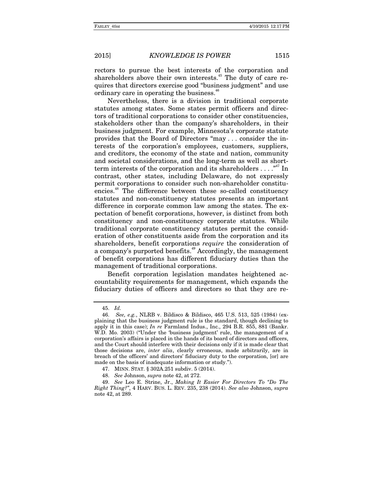rectors to pursue the best interests of the corporation and shareholders above their own interests.<sup> $45$ </sup> The duty of care requires that directors exercise good "business judgment" and use ordinary care in operating the business.<sup>46</sup>

Nevertheless, there is a division in traditional corporate statutes among states. Some states permit officers and directors of traditional corporations to consider other constituencies, stakeholders other than the company's shareholders, in their business judgment. For example, Minnesota's corporate statute provides that the Board of Directors "may . . . consider the interests of the corporation's employees, customers, suppliers, and creditors, the economy of the state and nation, community and societal considerations, and the long-term as well as shortterm interests of the corporation and its shareholders  $\dots$ ."<sup>47</sup> In contrast, other states, including Delaware, do not expressly permit corporations to consider such non-shareholder constituencies.<sup>48</sup> The difference between these so-called constituency statutes and non-constituency statutes presents an important difference in corporate common law among the states. The expectation of benefit corporations, however, is distinct from both constituency and non-constituency corporate statutes. While traditional corporate constituency statutes permit the consideration of other constituents aside from the corporation and its shareholders, benefit corporations *require* the consideration of a company's purported benefits.<sup>49</sup> Accordingly, the management of benefit corporations has different fiduciary duties than the management of traditional corporations.

Benefit corporation legislation mandates heightened accountability requirements for management, which expands the fiduciary duties of officers and directors so that they are re-

<sup>45.</sup> *Id.*

<sup>46.</sup> *See, e.g.*, NLRB v. Bildisco & Bildisco, 465 U.S. 513, 525 (1984) (explaining that the business judgment rule is the standard, though declining to apply it in this case); *In re* Farmland Indus., Inc., 294 B.R. 855, 881 (Bankr. W.D. Mo. 2003) ("Under the 'business judgment' rule, the management of a corporation's affairs is placed in the hands of its board of directors and officers, and the Court should interfere with their decisions only if it is made clear that those decisions are, *inter alia*, clearly erroneous, made arbitrarily, are in breach of the officers' and directors' fiduciary duty to the corporation, [or] are made on the basis of inadequate information or study.").

 <sup>47.</sup> MINN. STAT. § 302A.251 subdiv. 5 (2014).

<sup>48.</sup> *See* Johnson, *supra* note 42, at 272.

<sup>49.</sup> *See* Leo E. Strine, Jr., *Making It Easier For Directors To "Do The Right Thing?"*, 4 HARV. BUS. L. REV. 235, 238 (2014). *See also* Johnson, *supra* note 42, at 289.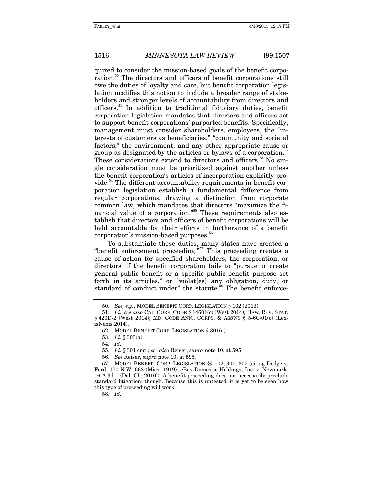quired to consider the mission-based goals of the benefit corporation.<sup>50</sup> The directors and officers of benefit corporations still owe the duties of loyalty and care, but benefit corporation legislation modifies this notion to include a broader range of stakeholders and stronger levels of accountability from directors and officers.<sup>51</sup> In addition to traditional fiduciary duties, benefit corporation legislation mandates that directors and officers act to support benefit corporations' purported benefits. Specifically, management must consider shareholders, employees, the "interests of customers as beneficiaries," "community and societal factors," the environment, and any other appropriate cause or group as designated by the articles or bylaws of a corporation.<sup>52</sup> These considerations extend to directors and officers.<sup>53</sup> No single consideration must be prioritized against another unless the benefit corporation's articles of incorporation explicitly provide.<sup>54</sup> The different accountability requirements in benefit corporation legislation establish a fundamental difference from regular corporations, drawing a distinction from corporate common law, which mandates that directors "maximize the financial value of a corporation.<sup>555</sup> These requirements also establish that directors and officers of benefit corporations will be held accountable for their efforts in furtherance of a benefit corporation's mission-based purposes.<sup><sup>66</sup></sup>

To substantiate these duties, many states have created a "benefit enforcement proceeding."<sup>557</sup> This proceeding creates a cause of action for specified shareholders, the corporation, or directors, if the benefit corporation fails to "pursue or create general public benefit or a specific public benefit purpose set forth in its articles," or "violat[es] any obligation, duty, or standard of conduct under" the statute.<sup>58</sup> The benefit enforce-

56. *See* Reiser, *supra* note 10, at 595.

58. *Id.*

<sup>50.</sup> *See, e.g.*, MODEL BENEFIT CORP. LEGISLATION § 102 (2013).

<sup>51.</sup> *Id.*; *see also* CAL. CORP. CODE § 14601(c) (West 2014); HAW. REV. STAT. § 420D-2 (West 2014); MD. CODE ANN., CORPS. & ASS'NS § 5-6C-01(c) (LexisNexis 2014).

 <sup>52.</sup> MODEL BENEFIT CORP. LEGISLATION § 301(a).

 <sup>53.</sup> *Id.* § 303(a).

<sup>54.</sup> *Id.*

 <sup>55.</sup> *Id.* § 301 cmt.; *see also* Reiser, *supra* note 10, at 595.

 <sup>57.</sup> MODEL BENEFIT CORP. LEGISLATION §§ 102, 301, 305 (citing Dodge v. Ford, 170 N.W. 668 (Mich. 1919); eBay Domestic Holdings, Inc. v. Newmark, 16 A.3d 1 (Del. Ch. 2010)). A benefit proceeding does not necessarily preclude standard litigation, though. Because this is untested, it is yet to be seen how this type of proceeding will work.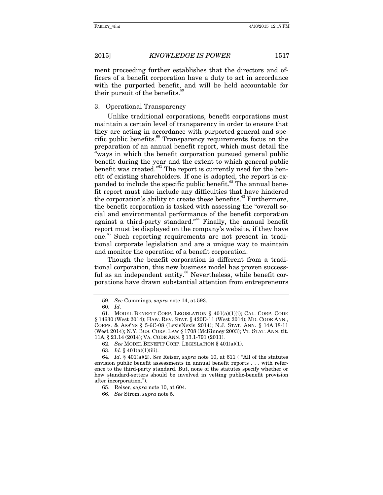ment proceeding further establishes that the directors and officers of a benefit corporation have a duty to act in accordance with the purported benefit, and will be held accountable for their pursuit of the benefits.<sup>5</sup>

#### 3. Operational Transparency

Unlike traditional corporations, benefit corporations must maintain a certain level of transparency in order to ensure that they are acting in accordance with purported general and specific public benefits.<sup>60</sup> Transparency requirements focus on the preparation of an annual benefit report, which must detail the "ways in which the benefit corporation pursued general public benefit during the year and the extent to which general public benefit was created."<sup>61</sup> The report is currently used for the benefit of existing shareholders. If one is adopted, the report is expanded to include the specific public benefit.<sup>62</sup> The annual benefit report must also include any difficulties that have hindered the corporation's ability to create these benefits.<sup>63</sup> Furthermore, the benefit corporation is tasked with assessing the "overall social and environmental performance of the benefit corporation against a third-party standard."64 Finally, the annual benefit report must be displayed on the company's website, if they have one.65 Such reporting requirements are not present in traditional corporate legislation and are a unique way to maintain and monitor the operation of a benefit corporation.

Though the benefit corporation is different from a traditional corporation, this new business model has proven successful as an independent entity.<sup>66</sup> Nevertheless, while benefit corporations have drawn substantial attention from entrepreneurs

<sup>59.</sup> *See* Cummings, *supra* note 14, at 593.

<sup>60.</sup> *Id.*

 <sup>61.</sup> MODEL BENEFIT CORP. LEGISLATION § 401(a)(1)(i); CAL. CORP. CODE § 14630 (West 2014); HAW. REV. STAT. § 420D-11 (West 2014); MD. CODE ANN., CORPS. & ASS'NS § 5-6C-08 (LexisNexis 2014); N.J. STAT. ANN. § 14A:18-11 (West 2014); N.Y. BUS. CORP. LAW § 1708 (McKinney 2003); VT. STAT. ANN. tit. 11A, § 21.14 (2014); VA. CODE ANN. § 13.1-791 (2011).

<sup>62.</sup> *See* MODEL BENEFIT CORP. LEGISLATION § 401(a)(1).

 <sup>63.</sup> *Id.* § 401(a)(1)(iii).

 <sup>64.</sup> *Id.* § 401(a)(2). *See* Reiser, *supra* note 10, at 611 ( "All of the statutes envision public benefit assessments in annual benefit reports . . . with reference to the third-party standard. But, none of the statutes specify whether or how standard-setters should be involved in vetting public-benefit provision after incorporation.").

<sup>65.</sup> Reiser, *supra* note 10, at 604.

<sup>66.</sup> *See* Strom, *supra* note 5.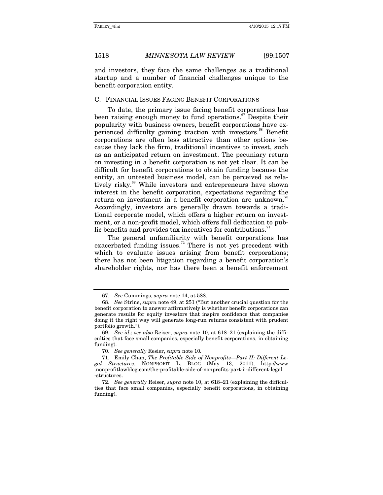and investors, they face the same challenges as a traditional startup and a number of financial challenges unique to the benefit corporation entity.

#### C. FINANCIAL ISSUES FACING BENEFIT CORPORATIONS

To date, the primary issue facing benefit corporations has been raising enough money to fund operations.<sup>67</sup> Despite their popularity with business owners, benefit corporations have experienced difficulty gaining traction with investors.<sup>68</sup> Benefit corporations are often less attractive than other options because they lack the firm, traditional incentives to invest, such as an anticipated return on investment. The pecuniary return on investing in a benefit corporation is not yet clear. It can be difficult for benefit corporations to obtain funding because the entity, an untested business model, can be perceived as relatively risky.<sup>69</sup> While investors and entrepreneurs have shown interest in the benefit corporation, expectations regarding the return on investment in a benefit corporation are unknown.<sup>70</sup> Accordingly, investors are generally drawn towards a traditional corporate model, which offers a higher return on investment, or a non-profit model, which offers full dedication to public benefits and provides tax incentives for contributions.<sup>7</sup>

The general unfamiliarity with benefit corporations has exacerbated funding issues.<sup>72</sup> There is not yet precedent with which to evaluate issues arising from benefit corporations; there has not been litigation regarding a benefit corporation's shareholder rights, nor has there been a benefit enforcement

<sup>67.</sup> *See* Cummings, *supra* note 14, at 588.

<sup>68.</sup> *See* Strine, *supra* note 49, at 251 ("But another crucial question for the benefit corporation to answer affirmatively is whether benefit corporations can generate results for equity investors that inspire confidence that companies doing it the right way will generate long-run returns consistent with prudent portfolio growth.").

<sup>69.</sup> *See id*.; *see also* Reiser, *supra* note 10, at 618–21 (explaining the difficulties that face small companies, especially benefit corporations, in obtaining funding).

<sup>70.</sup> *See generally* Resier, *supra* note 10*.*

 <sup>71.</sup> Emily Chan, *The Profitable Side of Nonprofits—Part II: Different Legal Structures*, NONPROFIT L. BLOG (May 13, 2011), http://www .nonprofitlawblog.com/the-profitable-side-of-nonprofits-part-ii-different-legal -structures.

<sup>72.</sup> *See generally* Reiser, *supra* note 10, at 618–21 (explaining the difficulties that face small companies, especially benefit corporations, in obtaining funding).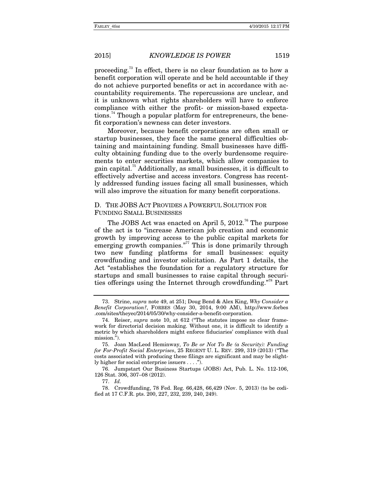proceeding.73 In effect, there is no clear foundation as to how a benefit corporation will operate and be held accountable if they do not achieve purported benefits or act in accordance with accountability requirements. The repercussions are unclear, and it is unknown what rights shareholders will have to enforce compliance with either the profit- or mission-based expectations.<sup>74</sup> Though a popular platform for entrepreneurs, the benefit corporation's newness can deter investors.

Moreover, because benefit corporations are often small or startup businesses, they face the same general difficulties obtaining and maintaining funding. Small businesses have difficulty obtaining funding due to the overly burdensome requirements to enter securities markets, which allow companies to gain capital.<sup>75</sup> Additionally, as small businesses, it is difficult to effectively advertise and access investors. Congress has recently addressed funding issues facing all small businesses, which will also improve the situation for many benefit corporations.

### D. THE JOBS ACT PROVIDES A POWERFUL SOLUTION FOR FUNDING SMALL BUSINESSES

The JOBS Act was enacted on April 5, 2012.<sup>76</sup> The purpose of the act is to "increase American job creation and economic growth by improving access to the public capital markets for emerging growth companies. $\frac{377}{7}$  This is done primarily through two new funding platforms for small businesses: equity crowdfunding and investor solicitation. As Part 1 details, the Act "establishes the foundation for a regulatory structure for startups and small businesses to raise capital through securities offerings using the Internet through crowdfunding."78 Part

 76. Jumpstart Our Business Startups (JOBS) Act, Pub. L. No. 112-106, 126 Stat. 306, 307–08 (2012).

77. *Id.*

 78. Crowdfunding, 78 Fed. Reg. 66,428, 66,429 (Nov. 5, 2013) (to be codified at 17 C.F.R. pts. 200, 227, 232, 239, 240, 249).

 <sup>73.</sup> Strine, *supra* note 49, at 251; Doug Bend & Alex King, *Why Consider a Benefit Corporation?*, FORBES (May 30, 2014, 9:00 AM), http://www.forbes .com/sites/theyec/2014/05/30/why-consider-a-benefit-corporation.

 <sup>74.</sup> Reiser, *supra* note 10, at 612 ("The statutes impose no clear framework for directorial decision making. Without one, it is difficult to identify a metric by which shareholders might enforce fiduciaries' compliance with dual mission.").

 <sup>75.</sup> Joan MacLeod Heminway, *To Be or Not To Be (a Security): Funding for For-Profit Social Enterprises*, 25 REGENT U. L. REV. 299, 319 (2013) ("The costs associated with producing these filings are significant and may be slightly higher for social enterprise issuers . . . .").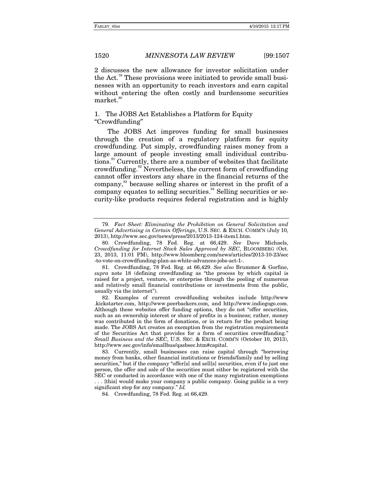2 discusses the new allowance for investor solicitation under the Act.<sup>79</sup> These provisions were initiated to provide small businesses with an opportunity to reach investors and earn capital without entering the often costly and burdensome securities market.<sup>80</sup>

#### 1. The JOBS Act Establishes a Platform for Equity "Crowdfunding"

The JOBS Act improves funding for small businesses through the creation of a regulatory platform for equity crowdfunding. Put simply, crowdfunding raises money from a large amount of people investing small individual contributions.<sup>81</sup> Currently, there are a number of websites that facilitate crowdfunding.<sup>82</sup> Nevertheless, the current form of crowdfunding cannot offer investors any share in the financial returns of the company,<sup>83</sup> because selling shares or interest in the profit of a company equates to selling securities.<sup>84</sup> Selling securities or security-like products requires federal registration and is highly

 <sup>79.</sup> *Fact Sheet: Eliminating the Prohibition on General Solicitation and General Advertising in Certain Offerings*, U.S. SEC. & EXCH. COMM'N (July 10, 2013), http://www.sec.gov/news/press/2013/2013-124-item1.htm.

 <sup>80.</sup> Crowdfunding, 78 Fed. Reg. at 66,429. *See* Dave Michaels, *Crowdfunding for Internet Stock Sales Approved by SEC*, BLOOMBERG (Oct. 23, 2013, 11:01 PM), http://www.bloomberg.com/news/articles/2013-10-23/sec -to-vote-on-crowdfunding-plan-as-white-advances-jobs-act-1-.

 <sup>81.</sup> Crowdfunding, 78 Fed. Reg. at 66,429. *See also* Brummer & Gorfine, *supra* note 18 (defining crowdfunding as "the process by which capital is raised for a project, venture, or enterprise through the pooling of numerous and relatively small financial contributions or investments from the public, usually via the internet").

 <sup>82.</sup> Examples of current crowdfunding websites include http://www .kickstarter.com, http://www.peerbackers.com, and http://www.indiegogo.com. Although these websites offer funding options, they do not "offer securities, such as an ownership interest or share of profits in a business; rather, money was contributed in the form of donations, or in return for the product being made. The JOBS Act creates an exemption from the registration requirements of the Securities Act that provides for a form of securities crowdfunding." *Small Business and the SEC*, U.S. SEC. & EXCH. COMM'N (October 10, 2013), http://www.sec.gov/info/smallbus/qasbsec.htm#capital.

 <sup>83.</sup> Currently, small businesses can raise capital through "borrowing money from banks, other financial institutions or friends/family and by selling securities," but if the company "offer[s] and sell[s] securities, even if to just one person, the offer and sale of the securities must either be registered with the SEC or conducted in accordance with one of the many registration exemptions . . . [this] would make your company a public company. Going public is a very

significant step for any company." *Id.*

 <sup>84.</sup> Crowdfunding, 78 Fed. Reg. at 66,429.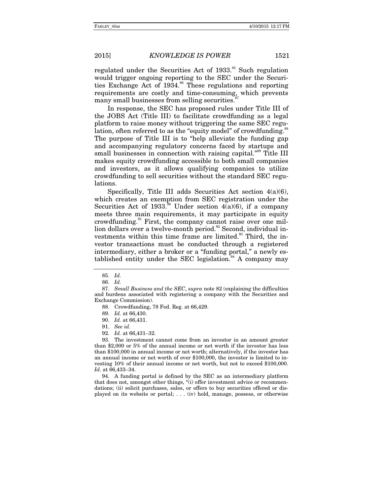regulated under the Securities Act of  $1933$ .<sup>85</sup> Such regulation would trigger ongoing reporting to the SEC under the Securities Exchange Act of 1934.<sup>86</sup> These regulations and reporting requirements are costly and time-consuming, which prevents many small businesses from selling securities.

In response, the SEC has proposed rules under Title III of the JOBS Act (Title III) to facilitate crowdfunding as a legal platform to raise money without triggering the same SEC regulation, often referred to as the "equity model" of crowdfunding.<sup>88</sup> The purpose of Title III is to "help alleviate the funding gap and accompanying regulatory concerns faced by startups and small businesses in connection with raising capital.<sup>"89</sup> Title III makes equity crowdfunding accessible to both small companies and investors, as it allows qualifying companies to utilize crowdfunding to sell securities without the standard SEC regulations.

Specifically, Title III adds Securities Act section 4(a)(6), which creates an exemption from SEC registration under the Securities Act of 1933.<sup>30</sup> Under section 4(a)(6), if a company meets three main requirements, it may participate in equity crowdfunding.<sup>91</sup> First, the company cannot raise over one million dollars over a twelve-month period.<sup>92</sup> Second, individual investments within this time frame are limited. $\frac{93}{3}$  Third, the investor transactions must be conducted through a registered intermediary, either a broker or a "funding portal," a newly established entity under the SEC legislation.<sup>94</sup> A company may

90. *Id.* at 66,431.

92. *Id.* at 66,431–32.

 93. The investment cannot come from an investor in an amount greater than \$2,000 or 5% of the annual income or net worth if the investor has less than \$100,000 in annual income or net worth; alternatively, if the investor has an annual income or net worth of over \$100,000, the investor is limited to investing 10% of their annual income or net worth, but not to exceed \$100,000. *Id.* at 66,433–34.

 94. A funding portal is defined by the SEC as an intermediary platform that does not, amongst other things, "(i) offer investment advice or recommendations; (ii) solicit purchases, sales, or offers to buy securities offered or displayed on its website or portal; . . . (iv) hold, manage, possess, or otherwise

<sup>85.</sup> *Id.*

<sup>86.</sup> *Id.*

 <sup>87.</sup> *Small Business and the SEC*, *supra* note 82 (explaining the difficulties and burdens associated with registering a company with the Securities and Exchange Commission).

 <sup>88.</sup> Crowdfunding, 78 Fed. Reg. at 66,429.

<sup>89.</sup> *Id.* at 66,430.

<sup>91.</sup> *See id.*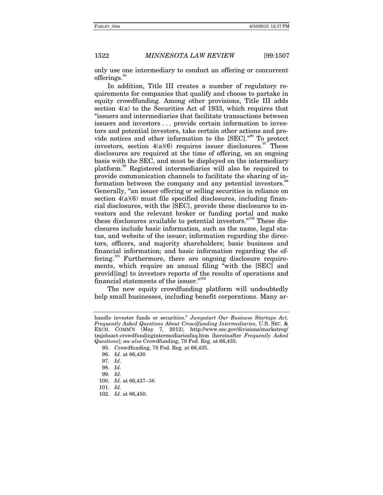only use one intermediary to conduct an offering or concurrent offerings.

In addition, Title III creates a number of regulatory requirements for companies that qualify and choose to partake in equity crowdfunding. Among other provisions, Title III adds section 4(a) to the Securities Act of 1933, which requires that "issuers and intermediaries that facilitate transactions between issuers and investors . . . provide certain information to investors and potential investors, take certain other actions and provide notices and other information to the [SEC]."96 To protect investors, section  $4(a)(6)$  requires issuer disclosures.<sup>97</sup> These disclosures are required at the time of offering, on an ongoing basis with the SEC, and must be displayed on the intermediary platform.98 Registered intermediaries will also be required to provide communication channels to facilitate the sharing of information between the company and any potential investors.<sup>99</sup> Generally, "an issuer offering or selling securities in reliance on section  $4(a)(6)$  must file specified disclosures, including financial disclosures, with the [SEC], provide these disclosures to investors and the relevant broker or funding portal and make these disclosures available to potential investors."<sup>100</sup> These disclosures include basic information, such as the name, legal status, and website of the issuer; information regarding the directors, officers, and majority shareholders; basic business and financial information; and basic information regarding the offering.<sup>101</sup> Furthermore, there are ongoing disclosure requirements, which require an annual filing "with the [SEC] and provid[ing] to investors reports of the results of operations and financial statements of the issuer."102

The new equity crowdfunding platform will undoubtedly help small businesses, including benefit corporations. Many ar-

handle investor funds or securities." *Jumpstart Our Business Startups Act, Frequently Asked Questions About Crowdfunding Intermediaries*, U.S. SEC. & EXCH. COMM'N (May 7, 2012), http://www.sec.gov/divisions/marketreg/ tmjobsact-crowdfundingintermediariesfaq.htm [hereinafter *Frequently Asked Questions*]; *see also* Crowdfunding, 78 Fed. Reg. at 66,435.

<sup>95.</sup> Crowdfunding, 78 Fed. Reg. at 66,435.

<sup>96.</sup> *Id.* at 66,430

<sup>97.</sup> *Id*.

<sup>98.</sup> *Id.*

<sup>99.</sup> *Id.* 

<sup>100.</sup> *Id.* at 66,437–38.

<sup>101.</sup> *Id.*

<sup>102.</sup> *Id.* at 66,450.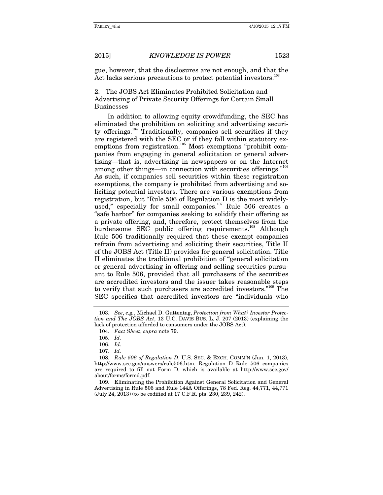gue, however, that the disclosures are not enough, and that the Act lacks serious precautions to protect potential investors.<sup>1</sup>

2. The JOBS Act Eliminates Prohibited Solicitation and Advertising of Private Security Offerings for Certain Small Businesses

In addition to allowing equity crowdfunding, the SEC has eliminated the prohibition on soliciting and advertising security offerings.<sup>104</sup> Traditionally, companies sell securities if they are registered with the SEC or if they fall within statutory exemptions from registration.<sup>105</sup> Most exemptions "prohibit companies from engaging in general solicitation or general advertising—that is, advertising in newspapers or on the Internet among other things—in connection with securities offerings."<sup>106</sup> As such, if companies sell securities within these registration exemptions, the company is prohibited from advertising and soliciting potential investors. There are various exemptions from registration, but "Rule 506 of Regulation D is the most widelyused," especially for small companies. $107$  Rule 506 creates a "safe harbor" for companies seeking to solidify their offering as a private offering, and, therefore, protect themselves from the burdensome SEC public offering requirements.<sup>108</sup> Although Rule 506 traditionally required that these exempt companies refrain from advertising and soliciting their securities, Title II of the JOBS Act (Title II) provides for general solicitation. Title II eliminates the traditional prohibition of "general solicitation or general advertising in offering and selling securities pursuant to Rule 506, provided that all purchasers of the securities are accredited investors and the issuer takes reasonable steps to verify that such purchasers are accredited investors."109 The SEC specifies that accredited investors are "individuals who

 109. Eliminating the Prohibition Against General Solicitation and General Advertising in Rule 506 and Rule 144A Offerings, 78 Fed. Reg. 44,771, 44,771 (July 24, 2013) (to be codified at 17 C.F.R. pts. 230, 239, 242).

<sup>103.</sup> *See*, *e.g.*, Michael D. Guttentag, *Protection from What? Investor Protection and The JOBS Act*, 13 U.C. DAVIS BUS. L. J. 207 (2013) (explaining the lack of protection afforded to consumers under the JOBS Act).

 <sup>104.</sup> *Fact Sheet*, *supra* note 79.

<sup>105.</sup> *Id.*

<sup>106.</sup> *Id.*

<sup>107.</sup> *Id.*

 <sup>108.</sup> *Rule 506 of Regulation D*, U.S. SEC. & EXCH. COMM'N (Jan. 1, 2013), http://www.sec.gov/answers/rule506.htm. Regulation D Rule 506 companies are required to fill out Form D, which is available at http://www.sec.gov/ about/forms/formd.pdf.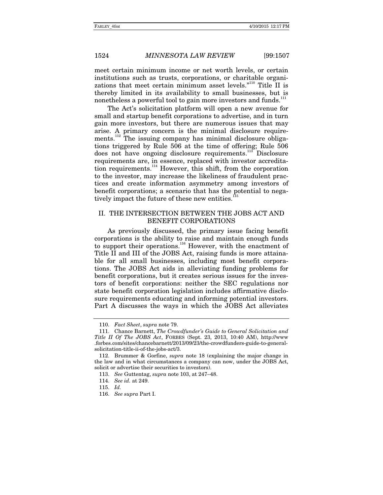meet certain minimum income or net worth levels, or certain institutions such as trusts, corporations, or charitable organizations that meet certain minimum asset levels."<sup>110</sup> Title II is thereby limited in its availability to small businesses, but is nonetheless a powerful tool to gain more investors and funds.<sup>111</sup>

The Act's solicitation platform will open a new avenue for small and startup benefit corporations to advertise, and in turn gain more investors, but there are numerous issues that may arise. A primary concern is the minimal disclosure requirements.<sup>112</sup> The issuing company has minimal disclosure obligations triggered by Rule 506 at the time of offering; Rule 506 does not have ongoing disclosure requirements.<sup>113</sup> Disclosure requirements are, in essence, replaced with investor accreditation requirements.<sup>114</sup> However, this shift, from the corporation to the investor, may increase the likeliness of fraudulent practices and create information asymmetry among investors of benefit corporations; a scenario that has the potential to negatively impact the future of these new entities.<sup>1</sup>

### II. THE INTERSECTION BETWEEN THE JOBS ACT AND BENEFIT CORPORATIONS

As previously discussed, the primary issue facing benefit corporations is the ability to raise and maintain enough funds to support their operations.<sup>116</sup> However, with the enactment of Title II and III of the JOBS Act, raising funds is more attainable for all small businesses, including most benefit corporations. The JOBS Act aids in alleviating funding problems for benefit corporations, but it creates serious issues for the investors of benefit corporations: neither the SEC regulations nor state benefit corporation legislation includes affirmative disclosure requirements educating and informing potential investors. Part A discusses the ways in which the JOBS Act alleviates

 <sup>110.</sup> *Fact Sheet*, *supra* note 79.

 <sup>111.</sup> Chance Barnett, *The Crowdfunder's Guide to General Solicitation and Title II Of The JOBS Act*, FORBES (Sept. 23, 2013, 10:40 AM), http://www .forbes.com/sites/chancebarnett/2013/09/23/the-crowdfunders-guide-to-generalsolicitation-title-ii-of-the-jobs-act/3.

 <sup>112.</sup> Brummer & Gorfine, *supra* note 18 (explaining the major change in the law and in what circumstances a company can now, under the JOBS Act, solicit or advertise their securities to investors).

<sup>113.</sup> *See* Guttentag, *supra* note 103, at 247–48.

<sup>114.</sup> *See id.* at 249.

<sup>115.</sup> *Id.*

<sup>116.</sup> *See supra* Part I.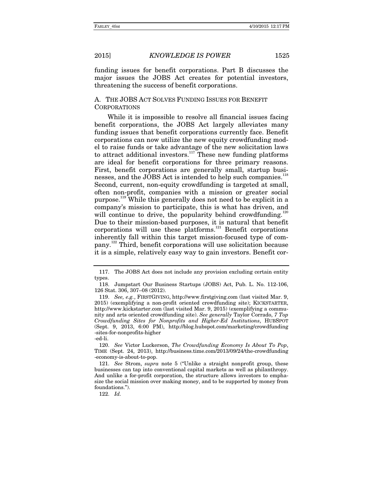funding issues for benefit corporations. Part B discusses the major issues the JOBS Act creates for potential investors, threatening the success of benefit corporations.

### A. THE JOBS ACT SOLVES FUNDING ISSUES FOR BENEFIT **CORPORATIONS**

While it is impossible to resolve all financial issues facing benefit corporations, the JOBS Act largely alleviates many funding issues that benefit corporations currently face. Benefit corporations can now utilize the new equity crowdfunding model to raise funds or take advantage of the new solicitation laws to attract additional investors.<sup>117</sup> These new funding platforms are ideal for benefit corporations for three primary reasons. First, benefit corporations are generally small, startup businesses, and the JOBS Act is intended to help such companies.<sup>118</sup> Second, current, non-equity crowdfunding is targeted at small, often non-profit, companies with a mission or greater social purpose.119 While this generally does not need to be explicit in a company's mission to participate, this is what has driven, and will continue to drive, the popularity behind crowdfunding.<sup>120</sup> Due to their mission-based purposes, it is natural that benefit corporations will use these platforms. $^{121}$  Benefit corporations inherently fall within this target mission-focused type of company.122 Third, benefit corporations will use solicitation because it is a simple, relatively easy way to gain investors. Benefit cor-

120. *See* Victor Luckerson, *The Crowdfunding Economy Is About To Pop*, TIME (Sept. 24, 2013), http://business.time.com/2013/09/24/the-crowdfunding -economy-is-about-to-pop.

121. *See* Strom, *supra* note 5 ("Unlike a straight nonprofit group, these businesses can tap into conventional capital markets as well as philanthropy. And unlike a for-profit corporation, the structure allows investors to emphasize the social mission over making money, and to be supported by money from foundations.").

122. *Id.*

 <sup>117.</sup> The JOBS Act does not include any provision excluding certain entity types.

 <sup>118.</sup> Jumpstart Our Business Startups (JOBS) Act, Pub. L. No. 112-106, 126 Stat. 306, 307–08 (2012).

<sup>119.</sup> *See, e.g.*, FIRSTGIVING, http://www.firstgiving.com (last visited Mar. 9, 2015) (exemplifying a non-profit oriented crowdfunding site); KICKSTARTER, http://www.kickstarter.com (last visited Mar. 9, 2015) (exemplifying a community and arts oriented crowdfunding site). *See generally* Taylor Corrado, *7 Top Crowdfunding Sites for Nonprofits and Higher-Ed Institutions*, HUBSPOT (Sept. 9, 2013, 6:00 PM), http://blog.hubspot.com/marketing/crowdfunding -sites-for-nonprofits-higher

<sup>-</sup>ed-li.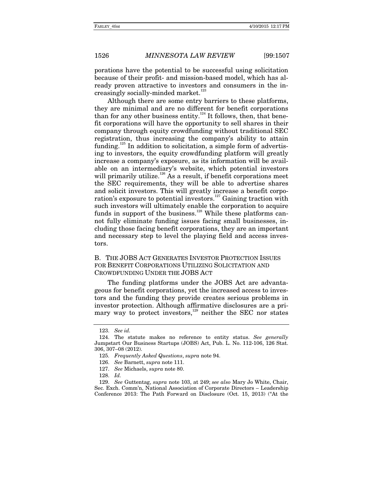porations have the potential to be successful using solicitation because of their profit- and mission-based model, which has already proven attractive to investors and consumers in the increasingly socially-minded market.<sup>123</sup>

Although there are some entry barriers to these platforms, they are minimal and are no different for benefit corporations than for any other business entity. $124$  It follows, then, that benefit corporations will have the opportunity to sell shares in their company through equity crowdfunding without traditional SEC registration, thus increasing the company's ability to attain funding.<sup>125</sup> In addition to solicitation, a simple form of advertising to investors, the equity crowdfunding platform will greatly increase a company's exposure, as its information will be available on an intermediary's website, which potential investors will primarily utilize.<sup>126</sup> As a result, if benefit corporations meet the SEC requirements, they will be able to advertise shares and solicit investors. This will greatly increase a benefit corporation's exposure to potential investors.<sup>127</sup> Gaining traction with such investors will ultimately enable the corporation to acquire funds in support of the business.<sup>128</sup> While these platforms cannot fully eliminate funding issues facing small businesses, including those facing benefit corporations, they are an important and necessary step to level the playing field and access investors.

### B. THE JOBS ACT GENERATES INVESTOR PROTECTION ISSUES FOR BENEFIT CORPORATIONS UTILIZING SOLICITATION AND CROWDFUNDING UNDER THE JOBS ACT

The funding platforms under the JOBS Act are advantageous for benefit corporations, yet the increased access to investors and the funding they provide creates serious problems in investor protection. Although affirmative disclosures are a primary way to protect investors, $129$  neither the SEC nor states

<sup>123.</sup> *See id.*

 <sup>124.</sup> The statute makes no reference to entity status. *See generally*  Jumpstart Our Business Startups (JOBS) Act, Pub. L. No. 112-106, 126 Stat. 306, 307–08 (2012).

 <sup>125.</sup> *Frequently Asked Questions*, *supra* note 94.

<sup>126.</sup> *See* Barnett, *supra* note 111.

<sup>127.</sup> *See* Michaels, *supra* note 80.

<sup>128.</sup> *Id.*

<sup>129.</sup> *See* Guttentag, *supra* note 103, at 249; *see also* Mary Jo White, Chair, Sec. Exch. Comm'n, National Association of Corporate Directors – Leadership Conference 2013: The Path Forward on Disclosure (Oct. 15, 2013) ("At the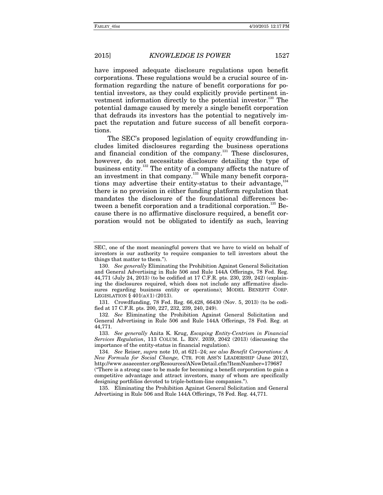have imposed adequate disclosure regulations upon benefit corporations. These regulations would be a crucial source of information regarding the nature of benefit corporations for potential investors, as they could explicitly provide pertinent investment information directly to the potential investor.<sup>130</sup> The potential damage caused by merely a single benefit corporation that defrauds its investors has the potential to negatively impact the reputation and future success of all benefit corporations.

The SEC's proposed legislation of equity crowdfunding includes limited disclosures regarding the business operations and financial condition of the company.<sup>131</sup> These disclosures, however, do not necessitate disclosure detailing the type of business entity.132 The entity of a company affects the nature of an investment in that company.<sup>133</sup> While many benefit corporations may advertise their entity-status to their advantage,<sup>134</sup> there is no provision in either funding platform regulation that mandates the disclosure of the foundational differences between a benefit corporation and a traditional corporation.<sup>135</sup> Because there is no affirmative disclosure required, a benefit corporation would not be obligated to identify as such, leaving

SEC, one of the most meaningful powers that we have to wield on behalf of investors is our authority to require companies to tell investors about the things that matter to them.").

<sup>130.</sup> *See generally* Eliminating the Prohibition Against General Solicitation and General Advertising in Rule 506 and Rule 144A Offerings, 78 Fed. Reg. 44,771 (July 24, 2013) (to be codified at 17 C.F.R. pts. 230, 239, 242) (explaining the disclosures required, which does not include any affirmative disclosures regarding business entity or operations); MODEL BENEFIT CORP. LEGISLATION § 401(a)(1) (2013).

 <sup>131.</sup> Crowdfunding, 78 Fed. Reg. 66,428, 66430 (Nov. 5, 2013) (to be codified at 17 C.F.R. pts. 200, 227, 232, 239, 240, 249).

<sup>132.</sup> *See* Eliminating the Prohibition Against General Solicitation and General Advertising in Rule 506 and Rule 144A Offerings, 78 Fed. Reg. at 44,771.

<sup>133.</sup> *See generally* Anita K. Krug, *Escaping Entity-Centrism in Financial Services Regulation*, 113 COLUM. L. REV. 2039, 2042 (2013) (discussing the importance of the entity-status in financial regulation).

<sup>134.</sup> *See* Reiser, *supra* note 10, at 621–24; *see also Benefit Corporations: A New Formula for Social Change,* CTR. FOR ASS'N LEADERSHIP (June 2012), http://www.asaecenter.org/Resources/ANowDetail.cfm?ItemNumber=179687

<sup>(&</sup>quot;There is a strong case to be made for becoming a benefit corporation to gain a competitive advantage and attract investors, many of whom are specifically designing portfolios devoted to triple-bottom-line companies.").

 <sup>135.</sup> Eliminating the Prohibition Against General Solicitation and General Advertising in Rule 506 and Rule 144A Offerings, 78 Fed. Reg. 44,771.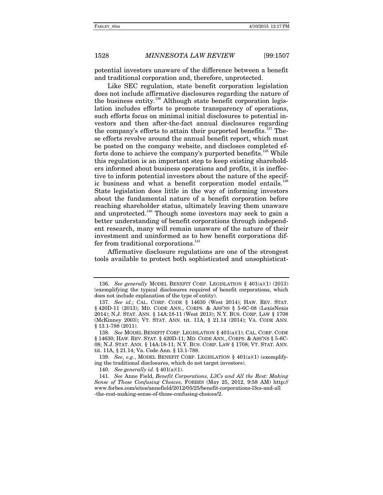potential investors unaware of the difference between a benefit and traditional corporation and, therefore, unprotected.

Like SEC regulation, state benefit corporation legislation does not include affirmative disclosures regarding the nature of the business entity.<sup>136</sup> Although state benefit corporation legislation includes efforts to promote transparency of operations, such efforts focus on minimal initial disclosures to potential investors and then after-the-fact annual disclosures regarding the company's efforts to attain their purported benefits.<sup>137</sup> These efforts revolve around the annual benefit report, which must be posted on the company website, and discloses completed efforts done to achieve the company's purported benefits.<sup>138</sup> While this regulation is an important step to keep existing shareholders informed about business operations and profits, it is ineffective to inform potential investors about the nature of the specific business and what a benefit corporation model entails.<sup>139</sup> State legislation does little in the way of informing investors about the fundamental nature of a benefit corporation before reaching shareholder status, ultimately leaving them unaware and unprotected.<sup>140</sup> Though some investors may seek to gain a better understanding of benefit corporations through independent research, many will remain unaware of the nature of their investment and uninformed as to how benefit corporations differ from traditional corporations.<sup>141</sup>

Affirmative disclosure regulations are one of the strongest tools available to protect both sophisticated and unsophisticat-

<sup>136.</sup> *See generally* MODEL BENEFIT CORP. LEGISLATION § 401(a)(1) (2013) (exemplifying the typical disclosures required of benefit corporations, which does not include explanation of the type of entity).

<sup>137.</sup> *See id.*; CAL. CORP. CODE § 14630 (West 2014); HAW. REV. STAT. § 420D-11 (2013); MD. CODE ANN., CORPS. & ASS'NS § 5-6C-08 (LexisNexis 2014); N.J. STAT. ANN. § 14A:18-11 (West 2013); N.Y. BUS. CORP. LAW § 1708 (McKinney 2003); VT. STAT. ANN. tit. 11A, § 21.14 (2014); VA. CODE ANN. § 13.1-788 (2011).

<sup>138.</sup> *See* MODEL BENEFIT CORP. LEGISLATION § 401(a)(1); CAL. CORP. CODE § 14630; HAW. REV. STAT. § 420D-11; MD. CODE ANN., CORPS. & ASS'NS § 5-6C-08; N.J. STAT. ANN. § 14A:18-11; N.Y. BUS. CORP. LAW § 1708; VT. STAT. ANN. tit. 11A, § 21.14; Va. Code Ann. § 13.1-788.

<sup>139.</sup> *See*, *e.g.*, MODEL BENEFIT CORP. LEGISLATION § 401(a)(1) (exemplifying the traditional disclosures, which do not target investors).

<sup>140.</sup> *See generally id.* § 401(a)(1).

<sup>141.</sup> *See* Anne Field, *Benefit Corporations, L3Cs and All the Rest: Making Sense of Those Confusing Choices*, FORBES (May 25, 2012, 9:58 AM) http:// www.forbes.com/sites/annefield/2012/05/25/benefit-corporations-l3cs-and-all -the-rest-making-sense-of-those-confusing-choices/2.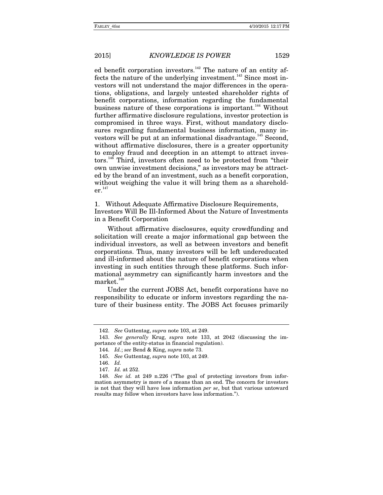ed benefit corporation investors.<sup>142</sup> The nature of an entity affects the nature of the underlying investment.<sup>143</sup> Since most investors will not understand the major differences in the operations, obligations, and largely untested shareholder rights of benefit corporations, information regarding the fundamental business nature of these corporations is important.<sup>144</sup> Without further affirmative disclosure regulations, investor protection is compromised in three ways. First, without mandatory disclosures regarding fundamental business information, many investors will be put at an informational disadvantage.<sup>145</sup> Second, without affirmative disclosures, there is a greater opportunity to employ fraud and deception in an attempt to attract investors.<sup>146</sup> Third, investors often need to be protected from "their own unwise investment decisions," as investors may be attracted by the brand of an investment, such as a benefit corporation, without weighing the value it will bring them as a sharehold $er<sup>147</sup>$ 

1. Without Adequate Affirmative Disclosure Requirements, Investors Will Be Ill-Informed About the Nature of Investments in a Benefit Corporation

Without affirmative disclosures, equity crowdfunding and solicitation will create a major informational gap between the individual investors, as well as between investors and benefit corporations. Thus, many investors will be left undereducated and ill-informed about the nature of benefit corporations when investing in such entities through these platforms. Such informational asymmetry can significantly harm investors and the  $market.<sup>148</sup>$ 

Under the current JOBS Act, benefit corporations have no responsibility to educate or inform investors regarding the nature of their business entity. The JOBS Act focuses primarily

<sup>142.</sup> *See* Guttentag, *supra* note 103, at 249.

<sup>143.</sup> *See generally* Krug, *supra* note 133, at 2042 (discussing the importance of the entity-status in financial regulation).

<sup>144.</sup> *Id.*; *see* Bend & King, *supra* note 73.

<sup>145.</sup> *See* Guttentag, *supra* note 103, at 249.

<sup>146.</sup> *Id.*

<sup>147.</sup> *Id.* at 252.

<sup>148.</sup> *See id.* at 249 n.226 ("The goal of protecting investors from information asymmetry is more of a means than an end. The concern for investors is not that they will have less information *per se*, but that various untoward results may follow when investors have less information.").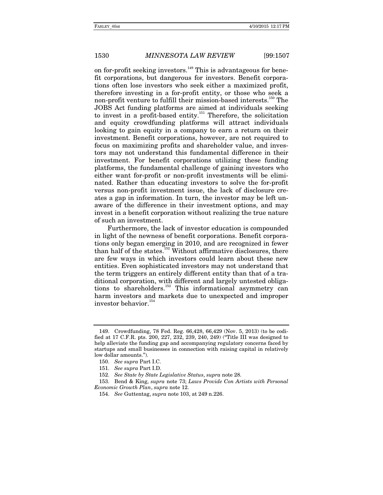on for-profit seeking investors.<sup>149</sup> This is advantageous for benefit corporations, but dangerous for investors. Benefit corporations often lose investors who seek either a maximized profit, therefore investing in a for-profit entity, or those who seek a non-profit venture to fulfill their mission-based interests.150 The JOBS Act funding platforms are aimed at individuals seeking to invest in a profit-based entity.<sup>151</sup> Therefore, the solicitation and equity crowdfunding platforms will attract individuals looking to gain equity in a company to earn a return on their investment. Benefit corporations, however, are not required to focus on maximizing profits and shareholder value, and investors may not understand this fundamental difference in their investment. For benefit corporations utilizing these funding platforms, the fundamental challenge of gaining investors who either want for-profit or non-profit investments will be eliminated. Rather than educating investors to solve the for-profit versus non-profit investment issue, the lack of disclosure creates a gap in information. In turn, the investor may be left unaware of the difference in their investment options, and may invest in a benefit corporation without realizing the true nature of such an investment.

Furthermore, the lack of investor education is compounded in light of the newness of benefit corporations. Benefit corporations only began emerging in 2010, and are recognized in fewer than half of the states.<sup>152</sup> Without affirmative disclosures, there are few ways in which investors could learn about these new entities. Even sophisticated investors may not understand that the term triggers an entirely different entity than that of a traditional corporation, with different and largely untested obligations to shareholders.<sup>153</sup> This informational asymmetry can harm investors and markets due to unexpected and improper investor behavior.<sup>154</sup>

 <sup>149.</sup> Crowdfunding, 78 Fed. Reg. 66,428, 66,429 (Nov. 5, 2013) (to be codified at 17 C.F.R. pts. 200, 227, 232, 239, 240, 249) ("Title III was designed to help alleviate the funding gap and accompanying regulatory concerns faced by startups and small businesses in connection with raising capital in relatively low dollar amounts.").

<sup>150.</sup> *See supra* Part I.C.

<sup>151.</sup> *See supra* Part I.D.

<sup>152.</sup> *See State by State Legislative Status*, *supra* note 28.

 <sup>153.</sup> Bend & King, *supra* note 73; *Laws Provide Con Artists with Personal Economic Growth Plan*, *supra* note 12.

<sup>154.</sup> *See* Guttentag, *supra* note 103, at 249 n.226.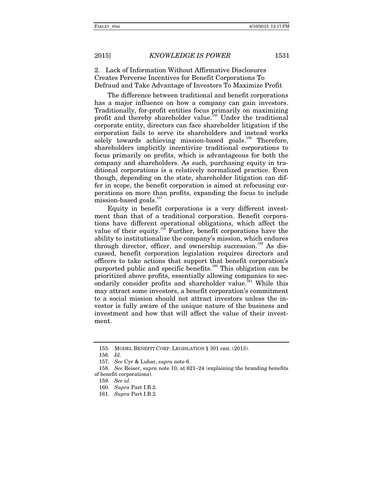2. Lack of Information Without Affirmative Disclosures Creates Perverse Incentives for Benefit Corporations To Defraud and Take Advantage of Investors To Maximize Profit

The difference between traditional and benefit corporations has a major influence on how a company can gain investors. Traditionally, for-profit entities focus primarily on maximizing profit and thereby shareholder value.<sup>155</sup> Under the traditional corporate entity, directors can face shareholder litigation if the corporation fails to serve its shareholders and instead works solely towards achieving mission-based goals.<sup>156</sup> Therefore, shareholders implicitly incentivize traditional corporations to focus primarily on profits, which is advantageous for both the company and shareholders. As such, purchasing equity in traditional corporations is a relatively normalized practice. Even though, depending on the state, shareholder litigation can differ in scope, the benefit corporation is aimed at refocusing corporations on more than profits, expanding the focus to include mission-based goals.<sup>157</sup>

Equity in benefit corporations is a very different investment than that of a traditional corporation. Benefit corporations have different operational obligations, which affect the value of their equity.<sup>158</sup> Further, benefit corporations have the ability to institutionalize the company's mission, which endures through director, officer, and ownership succession.<sup>159</sup> As discussed, benefit corporation legislation requires directors and officers to take actions that support that benefit corporation's purported public and specific benefits.<sup>160</sup> This obligation can be prioritized above profits, essentially allowing companies to secondarily consider profits and shareholder value.<sup>161</sup> While this may attract some investors, a benefit corporation's commitment to a social mission should not attract investors unless the investor is fully aware of the unique nature of the business and investment and how that will affect the value of their investment.

 <sup>155.</sup> MODEL BENEFIT CORP. LEGISLATION § 301 cmt. (2013).

<sup>156.</sup> *Id.*

<sup>157.</sup> *See* Cyr & Lubar, *supra* note 6.

<sup>158.</sup> *See* Reiser, *supra* note 10, at 621–24 (explaining the branding benefits of benefit corporations).

<sup>159.</sup> *See id.*

<sup>160.</sup> *Supra* Part I.B.2.

<sup>161.</sup> *Supra* Part I.B.2.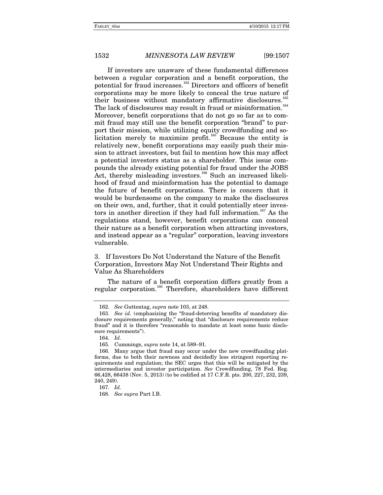If investors are unaware of these fundamental differences between a regular corporation and a benefit corporation, the potential for fraud increases.<sup>162</sup> Directors and officers of benefit corporations may be more likely to conceal the true nature of their business without mandatory affirmative disclosures.<sup>1</sup> The lack of disclosures may result in fraud or misinformation.<sup>164</sup> Moreover, benefit corporations that do not go so far as to commit fraud may still use the benefit corporation "brand" to purport their mission, while utilizing equity crowdfunding and so $licitation$  merely to maximize profit.<sup>165</sup> Because the entity is relatively new, benefit corporations may easily push their mission to attract investors, but fail to mention how this may affect a potential investors status as a shareholder. This issue compounds the already existing potential for fraud under the JOBS Act, thereby misleading investors.<sup>166</sup> Such an increased likelihood of fraud and misinformation has the potential to damage the future of benefit corporations. There is concern that it would be burdensome on the company to make the disclosures on their own, and, further, that it could potentially steer investors in another direction if they had full information.<sup>167</sup> As the regulations stand, however, benefit corporations can conceal their nature as a benefit corporation when attracting investors, and instead appear as a "regular" corporation, leaving investors vulnerable.

### 3. If Investors Do Not Understand the Nature of the Benefit Corporation, Investors May Not Understand Their Rights and Value As Shareholders

The nature of a benefit corporation differs greatly from a regular corporation.168 Therefore, shareholders have different

<sup>162.</sup> *See* Guttentag, *supra* note 103, at 248.

<sup>163.</sup> *See id.* (emphasizing the "fraud-deterring benefits of mandatory disclosure requirements generally," noting that "disclosure requirements reduce fraud" and it is therefore "reasonable to mandate at least some basic disclosure requirements").

<sup>164.</sup> *Id.*

 <sup>165.</sup> Cummings, *supra* note 14, at 589–91.

 <sup>166.</sup> Many argue that fraud may occur under the new crowdfunding platforms, due to both their newness and decidedly less stringent reporting requirements and regulation; the SEC urges that this will be mitigated by the intermediaries and investor participation. *See* Crowdfunding, 78 Fed. Reg. 66,428, 66438 (Nov. 5, 2013) (to be codified at 17 C.F.R. pts. 200, 227, 232, 239, 240, 249).

<sup>167.</sup> *Id.*

<sup>168.</sup> *See supra* Part I.B.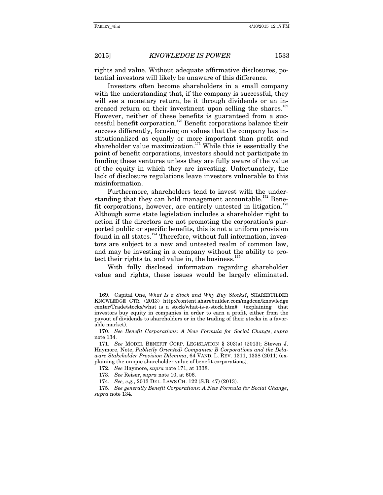rights and value. Without adequate affirmative disclosures, potential investors will likely be unaware of this difference.

Investors often become shareholders in a small company with the understanding that, if the company is successful, they will see a monetary return, be it through dividends or an increased return on their investment upon selling the shares.<sup>169</sup> However, neither of these benefits is guaranteed from a successful benefit corporation.170 Benefit corporations balance their success differently, focusing on values that the company has institutionalized as equally or more important than profit and shareholder value maximization.<sup>171</sup> While this is essentially the point of benefit corporations, investors should not participate in funding these ventures unless they are fully aware of the value of the equity in which they are investing. Unfortunately, the lack of disclosure regulations leave investors vulnerable to this misinformation.

Furthermore, shareholders tend to invest with the understanding that they can hold management accountable.<sup>172</sup> Benefit corporations, however, are entirely untested in litigation.<sup>173</sup> Although some state legislation includes a shareholder right to action if the directors are not promoting the corporation's purported public or specific benefits, this is not a uniform provision found in all states.<sup>174</sup> Therefore, without full information, investors are subject to a new and untested realm of common law, and may be investing in a company without the ability to protect their rights to, and value in, the business. $175$ 

With fully disclosed information regarding shareholder value and rights, these issues would be largely eliminated.

 <sup>169.</sup> Capital One, *What Is a Stock and Why Buy Stocks?*, SHAREBUILDER KNOWLEDGE CTR. (2013) http://content.sharebuilder.com/mgdcon/knowledge center/Trade/stocks/what\_is\_a\_stock/what-is-a-stock.htm# (explaining that investors buy equity in companies in order to earn a profit, either from the payout of dividends to shareholders or in the trading of their stocks in a favorable market).

<sup>170.</sup> *See Benefit Corporations: A New Formula for Social Change*, *supra* note 134.

<sup>171.</sup> *See* MODEL BENEFIT CORP. LEGISLATION § 303(a) (2013); Steven J. Haymore, Note, *Public(ly Oriented) Companies: B Corporations and the Delaware Stakeholder Provision Dilemma*, 64 VAND. L. REV. 1311, 1338 (2011) (explaining the unique shareholder value of benefit corporations).

<sup>172.</sup> *See* Haymore, *supra* note 171, at 1338.

<sup>173.</sup> *See* Reiser, *supra* note 10, at 606.

<sup>174.</sup> *See, e.g.*, 2013 DEL. LAWS CH. 122 (S.B. 47) (2013).

<sup>175.</sup> *See generally Benefit Corporations: A New Formula for Social Change*, *supra* note 134.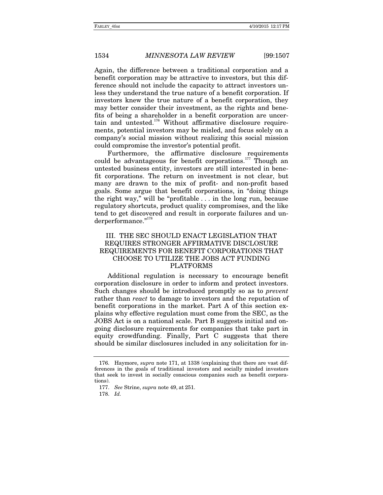Again, the difference between a traditional corporation and a benefit corporation may be attractive to investors, but this difference should not include the capacity to attract investors unless they understand the true nature of a benefit corporation. If investors knew the true nature of a benefit corporation, they may better consider their investment, as the rights and benefits of being a shareholder in a benefit corporation are uncertain and untested.<sup>176</sup> Without affirmative disclosure requirements, potential investors may be misled, and focus solely on a company's social mission without realizing this social mission could compromise the investor's potential profit.

Furthermore, the affirmative disclosure requirements could be advantageous for benefit corporations.<sup>177</sup> Though an untested business entity, investors are still interested in benefit corporations. The return on investment is not clear, but many are drawn to the mix of profit- and non-profit based goals. Some argue that benefit corporations, in "doing things the right way," will be "profitable . . . in the long run, because regulatory shortcuts, product quality compromises, and the like tend to get discovered and result in corporate failures and underperformance."178

#### III. THE SEC SHOULD ENACT LEGISLATION THAT REQUIRES STRONGER AFFIRMATIVE DISCLOSURE REQUIREMENTS FOR BENEFIT CORPORATIONS THAT CHOOSE TO UTILIZE THE JOBS ACT FUNDING PLATFORMS

Additional regulation is necessary to encourage benefit corporation disclosure in order to inform and protect investors. Such changes should be introduced promptly so as to *prevent* rather than *react* to damage to investors and the reputation of benefit corporations in the market. Part A of this section explains why effective regulation must come from the SEC, as the JOBS Act is on a national scale. Part B suggests initial and ongoing disclosure requirements for companies that take part in equity crowdfunding. Finally, Part C suggests that there should be similar disclosures included in any solicitation for in-

 <sup>176.</sup> Haymore, *supra* note 171, at 1338 (explaining that there are vast differences in the goals of traditional investors and socially minded investors that seek to invest in socially conscious companies such as benefit corporations).

<sup>177.</sup> *See* Strine, *supra* note 49, at 251.

<sup>178.</sup> *Id.*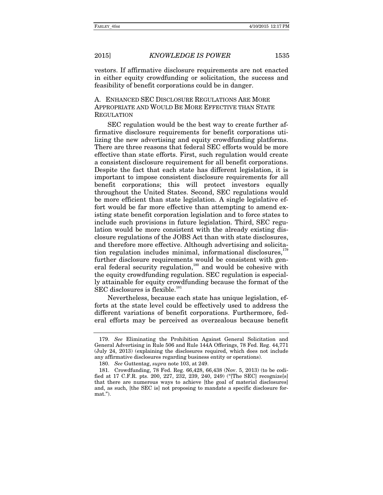vestors. If affirmative disclosure requirements are not enacted in either equity crowdfunding or solicitation, the success and feasibility of benefit corporations could be in danger.

A. ENHANCED SEC DISCLOSURE REGULATIONS ARE MORE APPROPRIATE AND WOULD BE MORE EFFECTIVE THAN STATE **REGULATION** 

SEC regulation would be the best way to create further affirmative disclosure requirements for benefit corporations utilizing the new advertising and equity crowdfunding platforms. There are three reasons that federal SEC efforts would be more effective than state efforts. First, such regulation would create a consistent disclosure requirement for all benefit corporations. Despite the fact that each state has different legislation, it is important to impose consistent disclosure requirements for all benefit corporations; this will protect investors equally throughout the United States. Second, SEC regulations would be more efficient than state legislation. A single legislative effort would be far more effective than attempting to amend existing state benefit corporation legislation and to force states to include such provisions in future legislation. Third, SEC regulation would be more consistent with the already existing disclosure regulations of the JOBS Act than with state disclosures, and therefore more effective. Although advertising and solicitation regulation includes minimal, informational disclosures, further disclosure requirements would be consistent with general federal security regulation,<sup>180</sup> and would be cohesive with the equity crowdfunding regulation. SEC regulation is especially attainable for equity crowdfunding because the format of the SEC disclosures is flexible.<sup>181</sup>

Nevertheless, because each state has unique legislation, efforts at the state level could be effectively used to address the different variations of benefit corporations. Furthermore, federal efforts may be perceived as overzealous because benefit

<sup>179.</sup> *See* Eliminating the Prohibition Against General Solicitation and General Advertising in Rule 506 and Rule 144A Offerings, 78 Fed. Reg. 44,771 (July 24, 2013) (explaining the disclosures required, which does not include any affirmative disclosures regarding business entity or operations).

<sup>180.</sup> *See* Guttentag, *supra* note 103, at 249.

 <sup>181.</sup> Crowdfunding, 78 Fed. Reg. 66,428, 66,438 (Nov. 5, 2013) (to be codified at 17 C.F.R. pts. 200, 227, 232, 239, 240, 249) ("[The SEC] recognize[s] that there are numerous ways to achieve [the goal of material disclosures] and, as such, [the SEC is] not proposing to mandate a specific disclosure format.").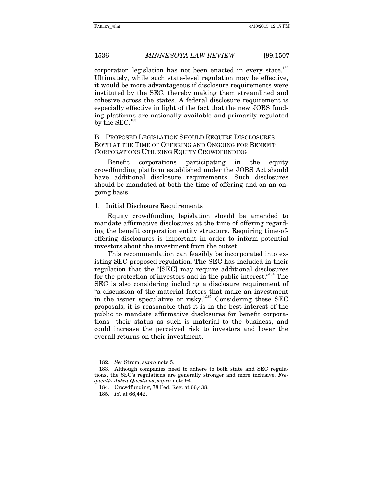corporation legislation has not been enacted in every state.<sup>182</sup> Ultimately, while such state-level regulation may be effective, it would be more advantageous if disclosure requirements were instituted by the SEC, thereby making them streamlined and cohesive across the states. A federal disclosure requirement is especially effective in light of the fact that the new JOBS funding platforms are nationally available and primarily regulated by the SEC.<sup>183</sup>

B. PROPOSED LEGISLATION SHOULD REQUIRE DISCLOSURES BOTH AT THE TIME OF OFFERING AND ONGOING FOR BENEFIT CORPORATIONS UTILIZING EQUITY CROWDFUNDING

Benefit corporations participating in the equity crowdfunding platform established under the JOBS Act should have additional disclosure requirements. Such disclosures should be mandated at both the time of offering and on an ongoing basis.

#### 1. Initial Disclosure Requirements

Equity crowdfunding legislation should be amended to mandate affirmative disclosures at the time of offering regarding the benefit corporation entity structure. Requiring time-ofoffering disclosures is important in order to inform potential investors about the investment from the outset.

This recommendation can feasibly be incorporated into existing SEC proposed regulation. The SEC has included in their regulation that the "[SEC] may require additional disclosures for the protection of investors and in the public interest."<sup>184</sup> The SEC is also considering including a disclosure requirement of "a discussion of the material factors that make an investment in the issuer speculative or risky."185 Considering these SEC proposals, it is reasonable that it is in the best interest of the public to mandate affirmative disclosures for benefit corporations—their status as such is material to the business, and could increase the perceived risk to investors and lower the overall returns on their investment.

<sup>182.</sup> *See* Strom, *supra* note 5.

 <sup>183.</sup> Although companies need to adhere to both state and SEC regulations, the SEC's regulations are generally stronger and more inclusive. *Frequently Asked Questions*, *supra* note 94.

 <sup>184.</sup> Crowdfunding, 78 Fed. Reg. at 66,438.

 <sup>185.</sup> *Id.* at 66,442.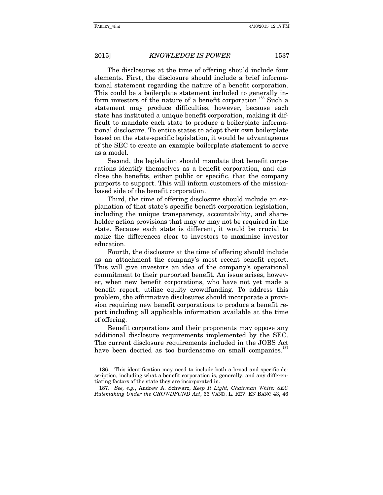The disclosures at the time of offering should include four elements. First, the disclosure should include a brief informational statement regarding the nature of a benefit corporation. This could be a boilerplate statement included to generally inform investors of the nature of a benefit corporation.<sup>186</sup> Such a statement may produce difficulties, however, because each state has instituted a unique benefit corporation, making it difficult to mandate each state to produce a boilerplate informational disclosure. To entice states to adopt their own boilerplate based on the state-specific legislation, it would be advantageous of the SEC to create an example boilerplate statement to serve as a model.

Second, the legislation should mandate that benefit corporations identify themselves as a benefit corporation, and disclose the benefits, either public or specific, that the company purports to support. This will inform customers of the missionbased side of the benefit corporation.

Third, the time of offering disclosure should include an explanation of that state's specific benefit corporation legislation, including the unique transparency, accountability, and shareholder action provisions that may or may not be required in the state. Because each state is different, it would be crucial to make the differences clear to investors to maximize investor education.

Fourth, the disclosure at the time of offering should include as an attachment the company's most recent benefit report. This will give investors an idea of the company's operational commitment to their purported benefit. An issue arises, however, when new benefit corporations, who have not yet made a benefit report, utilize equity crowdfunding. To address this problem, the affirmative disclosures should incorporate a provision requiring new benefit corporations to produce a benefit report including all applicable information available at the time of offering.

Benefit corporations and their proponents may oppose any additional disclosure requirements implemented by the SEC. The current disclosure requirements included in the JOBS Act have been decried as too burdensome on small companies.<sup>187</sup>

 <sup>186.</sup> This identification may need to include both a broad and specific description, including what a benefit corporation is, generally, and any differentiating factors of the state they are incorporated in.

<sup>187.</sup> *See, e.g.*, Andrew A. Schwarz, *Keep It Light, Chairman White: SEC Rulemaking Under the CROWDFUND Act*, 66 VAND. L. REV. EN BANC 43, 46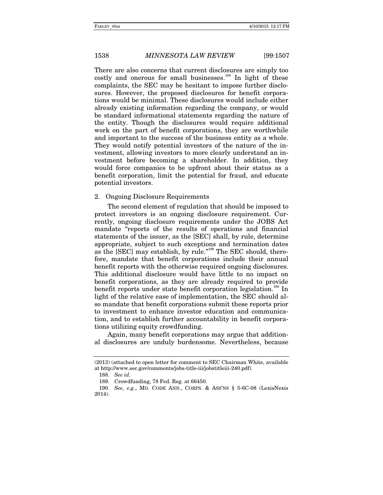There are also concerns that current disclosures are simply too costly and onerous for small businesses.<sup>188</sup> In light of these complaints, the SEC may be hesitant to impose further disclosures. However, the proposed disclosures for benefit corporations would be minimal. These disclosures would include either already existing information regarding the company, or would be standard informational statements regarding the nature of the entity. Though the disclosures would require additional work on the part of benefit corporations, they are worthwhile and important to the success of the business entity as a whole. They would notify potential investors of the nature of the investment, allowing investors to more clearly understand an investment before becoming a shareholder. In addition, they would force companies to be upfront about their status as a benefit corporation, limit the potential for fraud, and educate potential investors.

#### 2. Ongoing Disclosure Requirements

The second element of regulation that should be imposed to protect investors is an ongoing disclosure requirement. Currently, ongoing disclosure requirements under the JOBS Act mandate "reports of the results of operations and financial statements of the issuer, as the [SEC] shall, by rule, determine appropriate, subject to such exceptions and termination dates as the [SEC] may establish, by rule."189 The SEC should, therefore, mandate that benefit corporations include their annual benefit reports with the otherwise required ongoing disclosures. This additional disclosure would have little to no impact on benefit corporations, as they are already required to provide benefit reports under state benefit corporation legislation.<sup>190</sup> In light of the relative ease of implementation, the SEC should also mandate that benefit corporations submit these reports prior to investment to enhance investor education and communication, and to establish further accountability in benefit corporations utilizing equity crowdfunding.

Again, many benefit corporations may argue that additional disclosures are unduly burdensome. Nevertheless, because

<sup>(2013) (</sup>attached to open letter for comment to SEC Chairman White, available at http://www.sec.gov/comments/jobs-title-iii/jobstitleiii-240.pdf).

<sup>188.</sup> *See id.*

 <sup>189.</sup> Crowdfunding, 78 Fed. Reg. at 66450.

<sup>190.</sup> *See, e.g.*, MD. CODE ANN., CORPS. & ASS'NS § 5-6C-08 (LexisNexis 2014).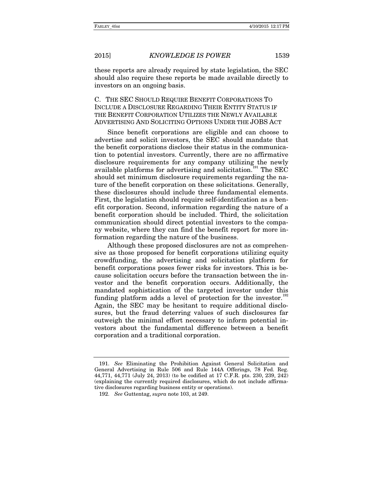these reports are already required by state legislation, the SEC should also require these reports be made available directly to investors on an ongoing basis.

### C. THE SEC SHOULD REQUIRE BENEFIT CORPORATIONS TO INCLUDE A DISCLOSURE REGARDING THEIR ENTITY STATUS IF THE BENEFIT CORPORATION UTILIZES THE NEWLY AVAILABLE ADVERTISING AND SOLICITING OPTIONS UNDER THE JOBS ACT

Since benefit corporations are eligible and can choose to advertise and solicit investors, the SEC should mandate that the benefit corporations disclose their status in the communication to potential investors. Currently, there are no affirmative disclosure requirements for any company utilizing the newly available platforms for advertising and solicitation.<sup>191</sup> The SEC should set minimum disclosure requirements regarding the nature of the benefit corporation on these solicitations. Generally, these disclosures should include three fundamental elements. First, the legislation should require self-identification as a benefit corporation. Second, information regarding the nature of a benefit corporation should be included. Third, the solicitation communication should direct potential investors to the company website, where they can find the benefit report for more information regarding the nature of the business.

Although these proposed disclosures are not as comprehensive as those proposed for benefit corporations utilizing equity crowdfunding, the advertising and solicitation platform for benefit corporations poses fewer risks for investors. This is because solicitation occurs before the transaction between the investor and the benefit corporation occurs. Additionally, the mandated sophistication of the targeted investor under this funding platform adds a level of protection for the investor. $192$ Again, the SEC may be hesitant to require additional disclosures, but the fraud deterring values of such disclosures far outweigh the minimal effort necessary to inform potential investors about the fundamental difference between a benefit corporation and a traditional corporation.

<sup>191.</sup> *See* Eliminating the Prohibition Against General Solicitation and General Advertising in Rule 506 and Rule 144A Offerings, 78 Fed. Reg. 44,771, 44,771 (July 24, 2013) (to be codified at 17 C.F.R. pts. 230, 239, 242) (explaining the currently required disclosures, which do not include affirmative disclosures regarding business entity or operations).

<sup>192.</sup> *See* Guttentag, *supra* note 103, at 249.